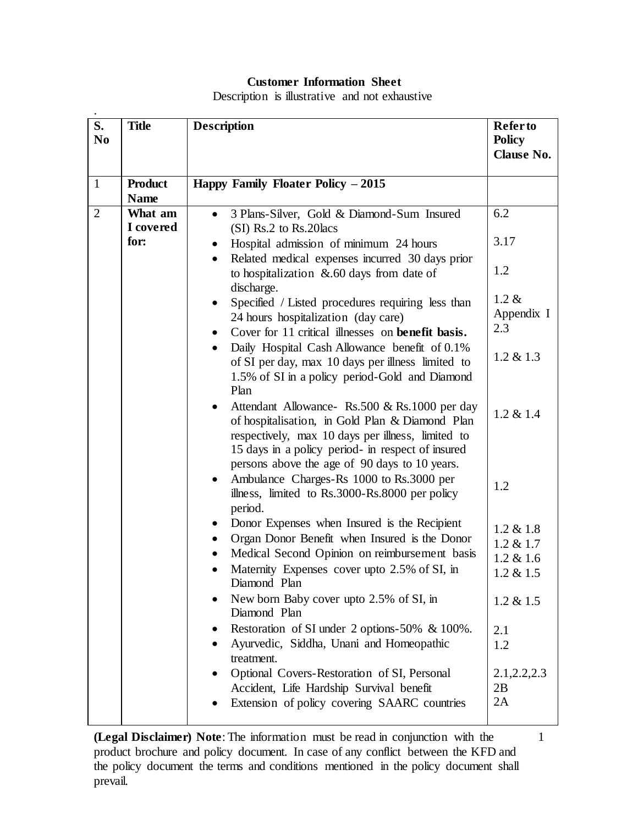## **Customer Information Sheet**

Description is illustrative and not exhaustive

| S.<br>N <sub>0</sub> | <b>Title</b>                                | <b>Description</b>                                                                                                                                                                                                                                                                                                                                                                                                                                                                                                                                                                                                                                                                                                                                                                                                                                                                                                                                                                                                                                                                                                                                                                                                                                                                                                                                                                                                                                                                                                                                 | <b>Refer to</b><br><b>Policy</b><br>Clause No.                                                                                                                                                                        |
|----------------------|---------------------------------------------|----------------------------------------------------------------------------------------------------------------------------------------------------------------------------------------------------------------------------------------------------------------------------------------------------------------------------------------------------------------------------------------------------------------------------------------------------------------------------------------------------------------------------------------------------------------------------------------------------------------------------------------------------------------------------------------------------------------------------------------------------------------------------------------------------------------------------------------------------------------------------------------------------------------------------------------------------------------------------------------------------------------------------------------------------------------------------------------------------------------------------------------------------------------------------------------------------------------------------------------------------------------------------------------------------------------------------------------------------------------------------------------------------------------------------------------------------------------------------------------------------------------------------------------------------|-----------------------------------------------------------------------------------------------------------------------------------------------------------------------------------------------------------------------|
| $\mathbf{1}$         | <b>Product</b>                              | Happy Family Floater Policy - 2015                                                                                                                                                                                                                                                                                                                                                                                                                                                                                                                                                                                                                                                                                                                                                                                                                                                                                                                                                                                                                                                                                                                                                                                                                                                                                                                                                                                                                                                                                                                 |                                                                                                                                                                                                                       |
| $\overline{2}$       | <b>Name</b><br>What am<br>I covered<br>for: | 3 Plans-Silver, Gold & Diamond-Sum Insured<br>$\bullet$<br>(SI) Rs.2 to Rs.20 lacs<br>Hospital admission of minimum 24 hours<br>$\bullet$<br>Related medical expenses incurred 30 days prior<br>$\bullet$<br>to hospitalization $\&.60$ days from date of<br>discharge.<br>Specified / Listed procedures requiring less than<br>$\bullet$<br>24 hours hospitalization (day care)<br>Cover for 11 critical illnesses on <b>benefit basis.</b><br>Daily Hospital Cash Allowance benefit of 0.1%<br>$\bullet$<br>of SI per day, max 10 days per illness limited to<br>1.5% of SI in a policy period-Gold and Diamond<br>Plan<br>Attendant Allowance - Rs.500 & Rs.1000 per day<br>of hospitalisation, in Gold Plan & Diamond Plan<br>respectively, max 10 days per illness, limited to<br>15 days in a policy period- in respect of insured<br>persons above the age of 90 days to 10 years.<br>Ambulance Charges-Rs 1000 to Rs.3000 per<br>$\bullet$<br>illness, limited to Rs.3000-Rs.8000 per policy<br>period.<br>Donor Expenses when Insured is the Recipient<br>Organ Donor Benefit when Insured is the Donor<br>Medical Second Opinion on reimbursement basis<br>Maternity Expenses cover upto 2.5% of SI, in<br>Diamond Plan<br>New born Baby cover upto 2.5% of SI, in<br>Diamond Plan<br>Restoration of SI under 2 options-50% & 100%.<br>Ayurvedic, Siddha, Unani and Homeopathic<br>treatment.<br>Optional Covers-Restoration of SI, Personal<br>Accident, Life Hardship Survival benefit<br>Extension of policy covering SAARC countries | 6.2<br>3.17<br>1.2<br>$1.2 \&$<br>Appendix I<br>2.3<br>$1.2 \& 1.3$<br>$1.2 \& 1.4$<br>1.2<br>$1.2 \& 1.8$<br>$1.2 \& 1.7$<br>$1.2 \& 1.6$<br>$1.2 \& 1.5$<br>$1.2 \& 1.5$<br>2.1<br>1.2<br>2.1, 2.2, 2.3<br>2B<br>2A |

**(Legal Disclaimer) Note**: The information must be read in conjunction with the product brochure and policy document. In case of any conflict between the KFD and the policy document the terms and conditions mentioned in the policy document shall prevail.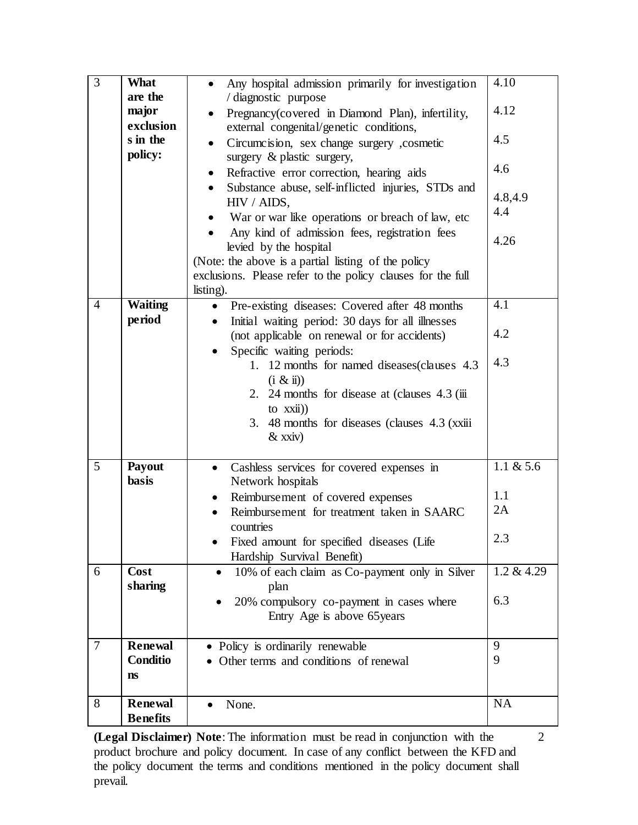| $\overline{3}$ | <b>What</b>                       | Any hospital admission primarily for investigation<br>$\bullet$                       | 4.10           |
|----------------|-----------------------------------|---------------------------------------------------------------------------------------|----------------|
|                | are the                           | / diagnostic purpose                                                                  |                |
|                | major<br>exclusion                | Pregnancy(covered in Diamond Plan), infertility,                                      | 4.12           |
|                | s in the                          | external congenital/genetic conditions,<br>Circumcision, sex change surgery ,cosmetic | 4.5            |
|                | policy:                           | surgery & plastic surgery,                                                            |                |
|                |                                   | Refractive error correction, hearing aids                                             | 4.6            |
|                |                                   | Substance abuse, self-inflicted injuries, STDs and<br>HIV / AIDS,                     | 4.8,4.9<br>4.4 |
|                |                                   | War or war like operations or breach of law, etc                                      |                |
|                |                                   | Any kind of admission fees, registration fees                                         | 4.26           |
|                |                                   | levied by the hospital<br>(Note: the above is a partial listing of the policy         |                |
|                |                                   | exclusions. Please refer to the policy clauses for the full                           |                |
|                |                                   | listing).                                                                             |                |
| $\overline{4}$ | <b>Waiting</b>                    | Pre-existing diseases: Covered after 48 months                                        | 4.1            |
|                | period                            | Initial waiting period: 30 days for all illnesses                                     |                |
|                |                                   | (not applicable on renewal or for accidents)                                          | 4.2            |
|                |                                   | Specific waiting periods:                                                             | 4.3            |
|                |                                   | 1. 12 months for named diseases (clauses 4.3)<br>$(i \& i)$                           |                |
|                |                                   | 2. 24 months for disease at (clauses 4.3 (iii)                                        |                |
|                |                                   | to $xxii)$                                                                            |                |
|                |                                   | 3. 48 months for diseases (clauses 4.3 (xxiii)                                        |                |
|                |                                   | $&$ xxiv)                                                                             |                |
| 5              | <b>Payout</b>                     |                                                                                       | 1.1 $& 5.6$    |
|                | basis                             | Cashless services for covered expenses in<br>$\bullet$<br>Network hospitals           |                |
|                |                                   | Reimbursement of covered expenses<br>٠                                                | 1.1            |
|                |                                   | Reimbursement for treatment taken in SAARC                                            | 2A             |
|                |                                   | countries                                                                             |                |
|                |                                   | Fixed amount for specified diseases (Life                                             | 2.3            |
|                |                                   | Hardship Survival Benefit)                                                            |                |
| 6              | Cost                              | 10% of each claim as Co-payment only in Silver<br>$\bullet$                           | 1.2 & 4.29     |
|                | sharing                           | plan                                                                                  |                |
|                |                                   | 20% compulsory co-payment in cases where                                              | 6.3            |
|                |                                   | Entry Age is above 65 years                                                           |                |
| $\overline{7}$ | <b>Renewal</b>                    | • Policy is ordinarily renewable                                                      | 9              |
|                | Conditio                          | Other terms and conditions of renewal                                                 | 9              |
|                | ns                                |                                                                                       |                |
|                |                                   |                                                                                       |                |
| 8              | <b>Renewal</b><br><b>Benefits</b> | None.                                                                                 | NA             |

**(Legal Disclaimer) Note**: The information must be read in conjunction with the product brochure and policy document. In case of any conflict between the KFD and the policy document the terms and conditions mentioned in the policy document shall prevail.

2